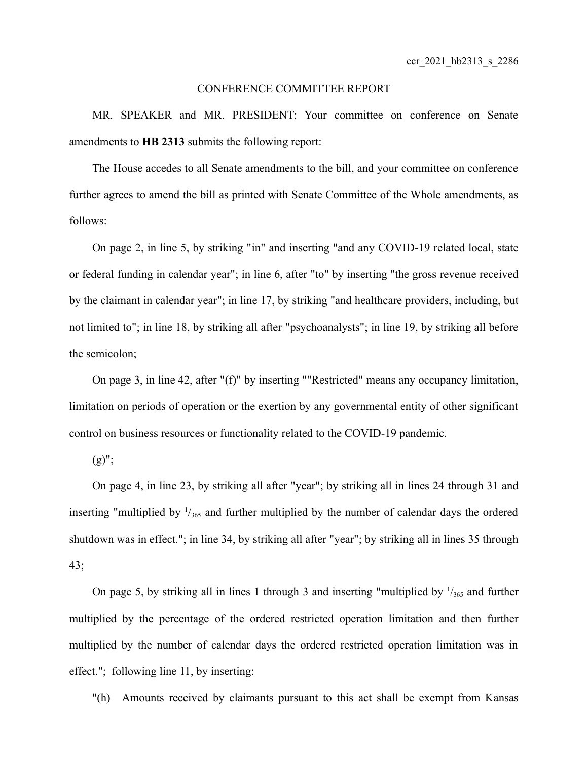## CONFERENCE COMMITTEE REPORT

MR. SPEAKER and MR. PRESIDENT: Your committee on conference on Senate amendments to **HB 2313** submits the following report:

The House accedes to all Senate amendments to the bill, and your committee on conference further agrees to amend the bill as printed with Senate Committee of the Whole amendments, as follows:

On page 2, in line 5, by striking "in" and inserting "and any COVID-19 related local, state or federal funding in calendar year"; in line 6, after "to" by inserting "the gross revenue received by the claimant in calendar year"; in line 17, by striking "and healthcare providers, including, but not limited to"; in line 18, by striking all after "psychoanalysts"; in line 19, by striking all before the semicolon;

On page 3, in line 42, after "(f)" by inserting ""Restricted" means any occupancy limitation, limitation on periods of operation or the exertion by any governmental entity of other significant control on business resources or functionality related to the COVID-19 pandemic.

 $(g)$ ";

On page 4, in line 23, by striking all after "year"; by striking all in lines 24 through 31 and inserting "multiplied by  $\frac{1}{365}$  and further multiplied by the number of calendar days the ordered shutdown was in effect."; in line 34, by striking all after "year"; by striking all in lines 35 through 43;

On page 5, by striking all in lines 1 through 3 and inserting "multiplied by  $\frac{1}{365}$  and further multiplied by the percentage of the ordered restricted operation limitation and then further multiplied by the number of calendar days the ordered restricted operation limitation was in effect."; following line 11, by inserting:

"(h) Amounts received by claimants pursuant to this act shall be exempt from Kansas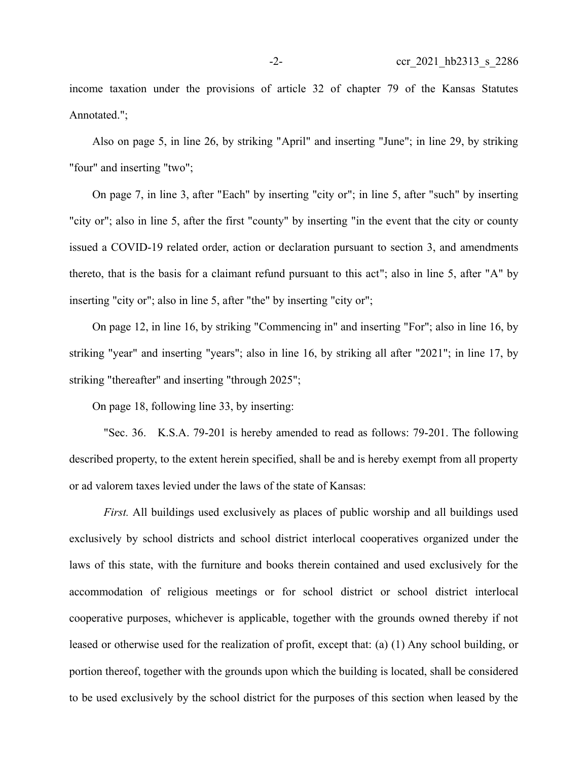income taxation under the provisions of article 32 of chapter 79 of the Kansas Statutes Annotated.";

Also on page 5, in line 26, by striking "April" and inserting "June"; in line 29, by striking "four" and inserting "two";

On page 7, in line 3, after "Each" by inserting "city or"; in line 5, after "such" by inserting "city or"; also in line 5, after the first "county" by inserting "in the event that the city or county issued a COVID-19 related order, action or declaration pursuant to section 3, and amendments thereto, that is the basis for a claimant refund pursuant to this act"; also in line 5, after "A" by inserting "city or"; also in line 5, after "the" by inserting "city or";

On page 12, in line 16, by striking "Commencing in" and inserting "For"; also in line 16, by striking "year" and inserting "years"; also in line 16, by striking all after "2021"; in line 17, by striking "thereafter" and inserting "through 2025";

On page 18, following line 33, by inserting:

"Sec. 36. K.S.A. 79-201 is hereby amended to read as follows: 79-201. The following described property, to the extent herein specified, shall be and is hereby exempt from all property or ad valorem taxes levied under the laws of the state of Kansas:

*First.* All buildings used exclusively as places of public worship and all buildings used exclusively by school districts and school district interlocal cooperatives organized under the laws of this state, with the furniture and books therein contained and used exclusively for the accommodation of religious meetings or for school district or school district interlocal cooperative purposes, whichever is applicable, together with the grounds owned thereby if not leased or otherwise used for the realization of profit, except that: (a) (1) Any school building, or portion thereof, together with the grounds upon which the building is located, shall be considered to be used exclusively by the school district for the purposes of this section when leased by the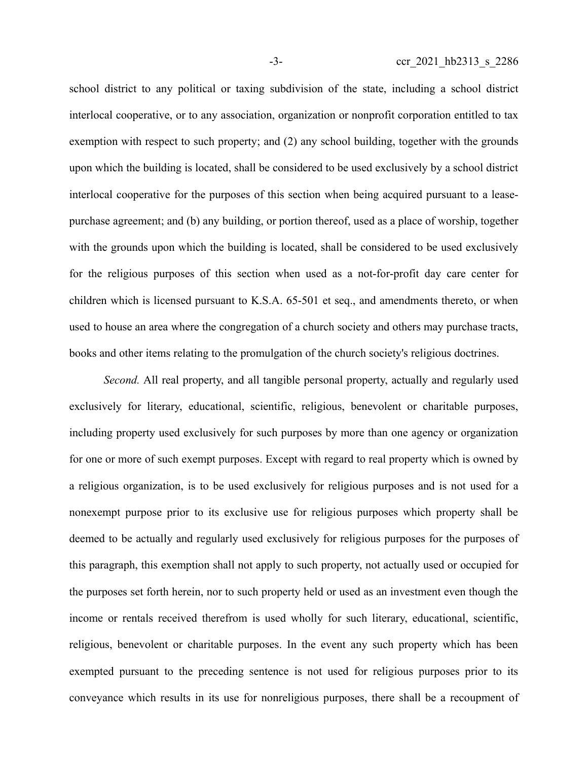school district to any political or taxing subdivision of the state, including a school district interlocal cooperative, or to any association, organization or nonprofit corporation entitled to tax exemption with respect to such property; and (2) any school building, together with the grounds upon which the building is located, shall be considered to be used exclusively by a school district interlocal cooperative for the purposes of this section when being acquired pursuant to a leasepurchase agreement; and (b) any building, or portion thereof, used as a place of worship, together with the grounds upon which the building is located, shall be considered to be used exclusively for the religious purposes of this section when used as a not-for-profit day care center for children which is licensed pursuant to K.S.A. 65-501 et seq., and amendments thereto, or when used to house an area where the congregation of a church society and others may purchase tracts, books and other items relating to the promulgation of the church society's religious doctrines.

*Second.* All real property, and all tangible personal property, actually and regularly used exclusively for literary, educational, scientific, religious, benevolent or charitable purposes, including property used exclusively for such purposes by more than one agency or organization for one or more of such exempt purposes. Except with regard to real property which is owned by a religious organization, is to be used exclusively for religious purposes and is not used for a nonexempt purpose prior to its exclusive use for religious purposes which property shall be deemed to be actually and regularly used exclusively for religious purposes for the purposes of this paragraph, this exemption shall not apply to such property, not actually used or occupied for the purposes set forth herein, nor to such property held or used as an investment even though the income or rentals received therefrom is used wholly for such literary, educational, scientific, religious, benevolent or charitable purposes. In the event any such property which has been exempted pursuant to the preceding sentence is not used for religious purposes prior to its conveyance which results in its use for nonreligious purposes, there shall be a recoupment of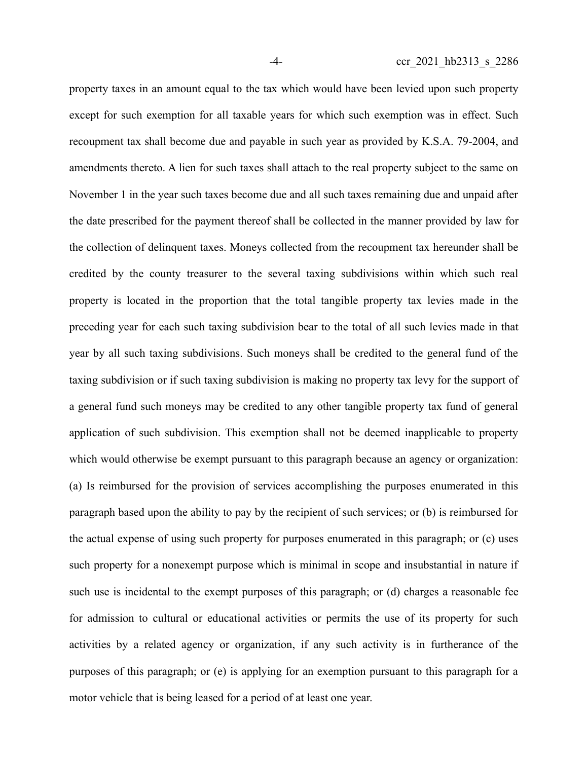property taxes in an amount equal to the tax which would have been levied upon such property except for such exemption for all taxable years for which such exemption was in effect. Such recoupment tax shall become due and payable in such year as provided by K.S.A. 79-2004, and amendments thereto. A lien for such taxes shall attach to the real property subject to the same on November 1 in the year such taxes become due and all such taxes remaining due and unpaid after the date prescribed for the payment thereof shall be collected in the manner provided by law for the collection of delinquent taxes. Moneys collected from the recoupment tax hereunder shall be credited by the county treasurer to the several taxing subdivisions within which such real property is located in the proportion that the total tangible property tax levies made in the preceding year for each such taxing subdivision bear to the total of all such levies made in that year by all such taxing subdivisions. Such moneys shall be credited to the general fund of the taxing subdivision or if such taxing subdivision is making no property tax levy for the support of a general fund such moneys may be credited to any other tangible property tax fund of general application of such subdivision. This exemption shall not be deemed inapplicable to property which would otherwise be exempt pursuant to this paragraph because an agency or organization: (a) Is reimbursed for the provision of services accomplishing the purposes enumerated in this paragraph based upon the ability to pay by the recipient of such services; or (b) is reimbursed for the actual expense of using such property for purposes enumerated in this paragraph; or (c) uses such property for a nonexempt purpose which is minimal in scope and insubstantial in nature if such use is incidental to the exempt purposes of this paragraph; or (d) charges a reasonable fee for admission to cultural or educational activities or permits the use of its property for such activities by a related agency or organization, if any such activity is in furtherance of the purposes of this paragraph; or (e) is applying for an exemption pursuant to this paragraph for a motor vehicle that is being leased for a period of at least one year.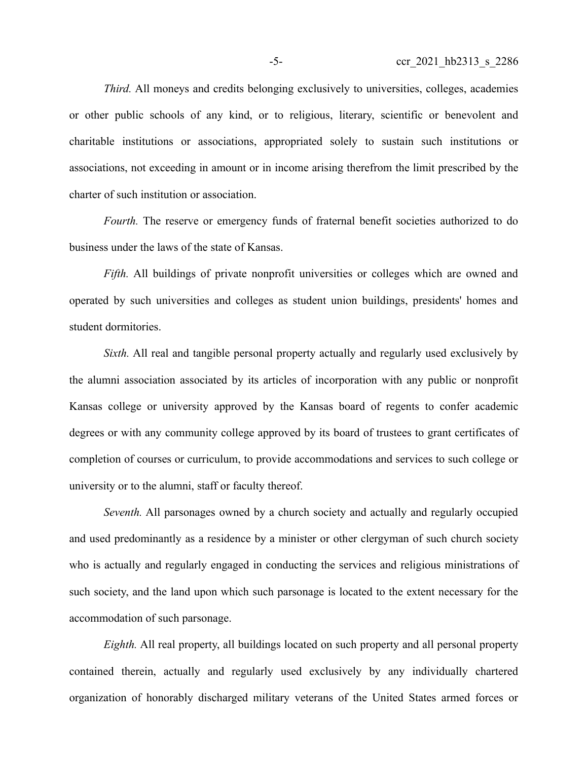*Third.* All moneys and credits belonging exclusively to universities, colleges, academies or other public schools of any kind, or to religious, literary, scientific or benevolent and charitable institutions or associations, appropriated solely to sustain such institutions or associations, not exceeding in amount or in income arising therefrom the limit prescribed by the charter of such institution or association.

*Fourth*. The reserve or emergency funds of fraternal benefit societies authorized to do business under the laws of the state of Kansas.

*Fifth.* All buildings of private nonprofit universities or colleges which are owned and operated by such universities and colleges as student union buildings, presidents' homes and student dormitories.

*Sixth.* All real and tangible personal property actually and regularly used exclusively by the alumni association associated by its articles of incorporation with any public or nonprofit Kansas college or university approved by the Kansas board of regents to confer academic degrees or with any community college approved by its board of trustees to grant certificates of completion of courses or curriculum, to provide accommodations and services to such college or university or to the alumni, staff or faculty thereof.

*Seventh.* All parsonages owned by a church society and actually and regularly occupied and used predominantly as a residence by a minister or other clergyman of such church society who is actually and regularly engaged in conducting the services and religious ministrations of such society, and the land upon which such parsonage is located to the extent necessary for the accommodation of such parsonage.

*Eighth.* All real property, all buildings located on such property and all personal property contained therein, actually and regularly used exclusively by any individually chartered organization of honorably discharged military veterans of the United States armed forces or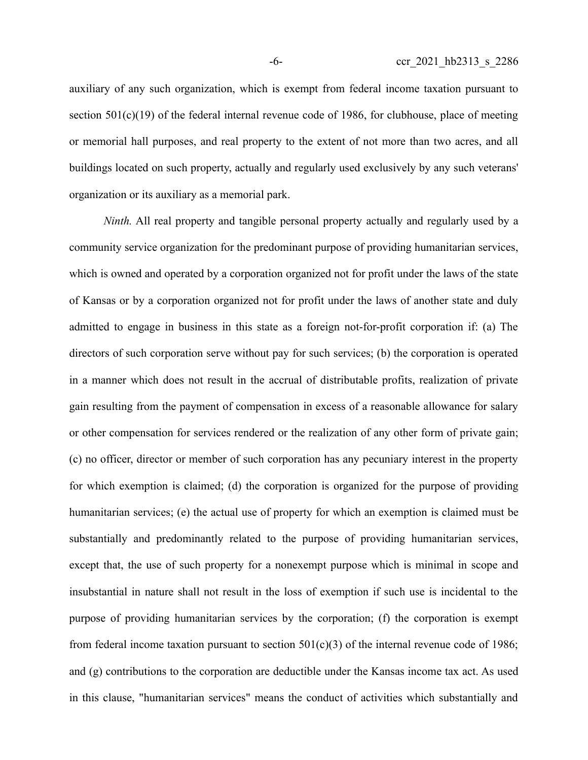auxiliary of any such organization, which is exempt from federal income taxation pursuant to section 501(c)(19) of the federal internal revenue code of 1986, for clubhouse, place of meeting or memorial hall purposes, and real property to the extent of not more than two acres, and all buildings located on such property, actually and regularly used exclusively by any such veterans' organization or its auxiliary as a memorial park.

*Ninth.* All real property and tangible personal property actually and regularly used by a community service organization for the predominant purpose of providing humanitarian services, which is owned and operated by a corporation organized not for profit under the laws of the state of Kansas or by a corporation organized not for profit under the laws of another state and duly admitted to engage in business in this state as a foreign not-for-profit corporation if: (a) The directors of such corporation serve without pay for such services; (b) the corporation is operated in a manner which does not result in the accrual of distributable profits, realization of private gain resulting from the payment of compensation in excess of a reasonable allowance for salary or other compensation for services rendered or the realization of any other form of private gain; (c) no officer, director or member of such corporation has any pecuniary interest in the property for which exemption is claimed; (d) the corporation is organized for the purpose of providing humanitarian services; (e) the actual use of property for which an exemption is claimed must be substantially and predominantly related to the purpose of providing humanitarian services, except that, the use of such property for a nonexempt purpose which is minimal in scope and insubstantial in nature shall not result in the loss of exemption if such use is incidental to the purpose of providing humanitarian services by the corporation; (f) the corporation is exempt from federal income taxation pursuant to section  $501(c)(3)$  of the internal revenue code of 1986; and (g) contributions to the corporation are deductible under the Kansas income tax act. As used in this clause, "humanitarian services" means the conduct of activities which substantially and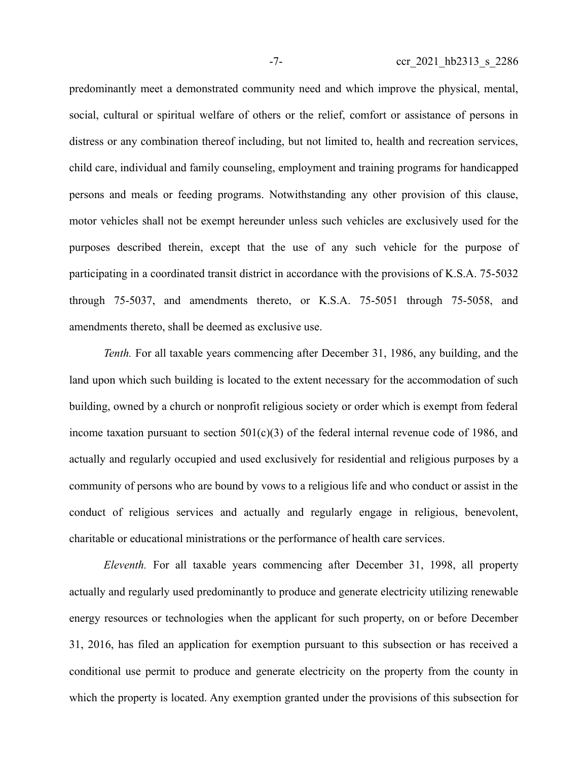predominantly meet a demonstrated community need and which improve the physical, mental, social, cultural or spiritual welfare of others or the relief, comfort or assistance of persons in distress or any combination thereof including, but not limited to, health and recreation services, child care, individual and family counseling, employment and training programs for handicapped persons and meals or feeding programs. Notwithstanding any other provision of this clause, motor vehicles shall not be exempt hereunder unless such vehicles are exclusively used for the purposes described therein, except that the use of any such vehicle for the purpose of participating in a coordinated transit district in accordance with the provisions of K.S.A. 75-5032 through 75-5037, and amendments thereto, or K.S.A. 75-5051 through 75-5058, and amendments thereto, shall be deemed as exclusive use.

*Tenth.* For all taxable years commencing after December 31, 1986, any building, and the land upon which such building is located to the extent necessary for the accommodation of such building, owned by a church or nonprofit religious society or order which is exempt from federal income taxation pursuant to section  $501(c)(3)$  of the federal internal revenue code of 1986, and actually and regularly occupied and used exclusively for residential and religious purposes by a community of persons who are bound by vows to a religious life and who conduct or assist in the conduct of religious services and actually and regularly engage in religious, benevolent, charitable or educational ministrations or the performance of health care services.

*Eleventh.* For all taxable years commencing after December 31, 1998, all property actually and regularly used predominantly to produce and generate electricity utilizing renewable energy resources or technologies when the applicant for such property, on or before December 31, 2016, has filed an application for exemption pursuant to this subsection or has received a conditional use permit to produce and generate electricity on the property from the county in which the property is located. Any exemption granted under the provisions of this subsection for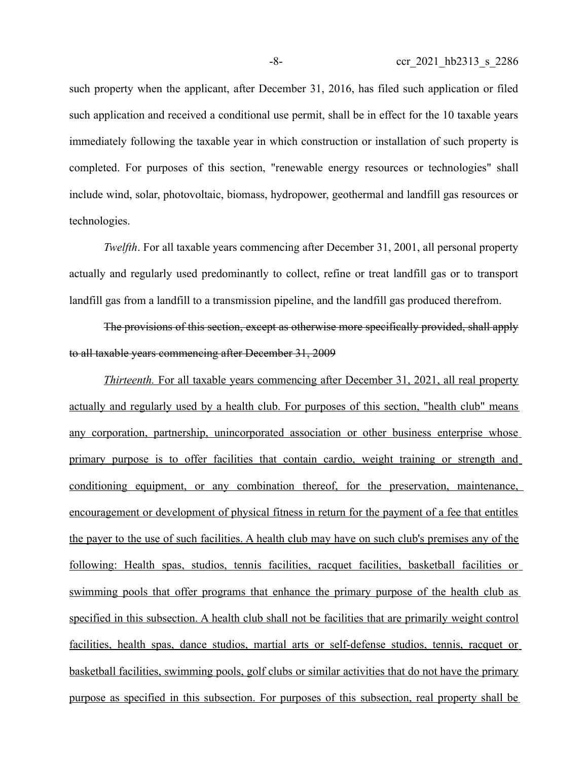such property when the applicant, after December 31, 2016, has filed such application or filed such application and received a conditional use permit, shall be in effect for the 10 taxable years immediately following the taxable year in which construction or installation of such property is completed. For purposes of this section, "renewable energy resources or technologies" shall include wind, solar, photovoltaic, biomass, hydropower, geothermal and landfill gas resources or technologies.

*Twelfth*. For all taxable years commencing after December 31, 2001, all personal property actually and regularly used predominantly to collect, refine or treat landfill gas or to transport landfill gas from a landfill to a transmission pipeline, and the landfill gas produced therefrom.

The provisions of this section, except as otherwise more specifically provided, shall apply to all taxable years commencing after December 31, 2009

*Thirteenth.* For all taxable years commencing after December 31, 2021, all real property actually and regularly used by a health club. For purposes of this section, "health club" means any corporation, partnership, unincorporated association or other business enterprise whose primary purpose is to offer facilities that contain cardio, weight training or strength and conditioning equipment, or any combination thereof, for the preservation, maintenance, encouragement or development of physical fitness in return for the payment of a fee that entitles the payer to the use of such facilities. A health club may have on such club's premises any of the following: Health spas, studios, tennis facilities, racquet facilities, basketball facilities or swimming pools that offer programs that enhance the primary purpose of the health club as specified in this subsection. A health club shall not be facilities that are primarily weight control facilities, health spas, dance studios, martial arts or self-defense studios, tennis, racquet or basketball facilities, swimming pools, golf clubs or similar activities that do not have the primary purpose as specified in this subsection. For purposes of this subsection, real property shall be